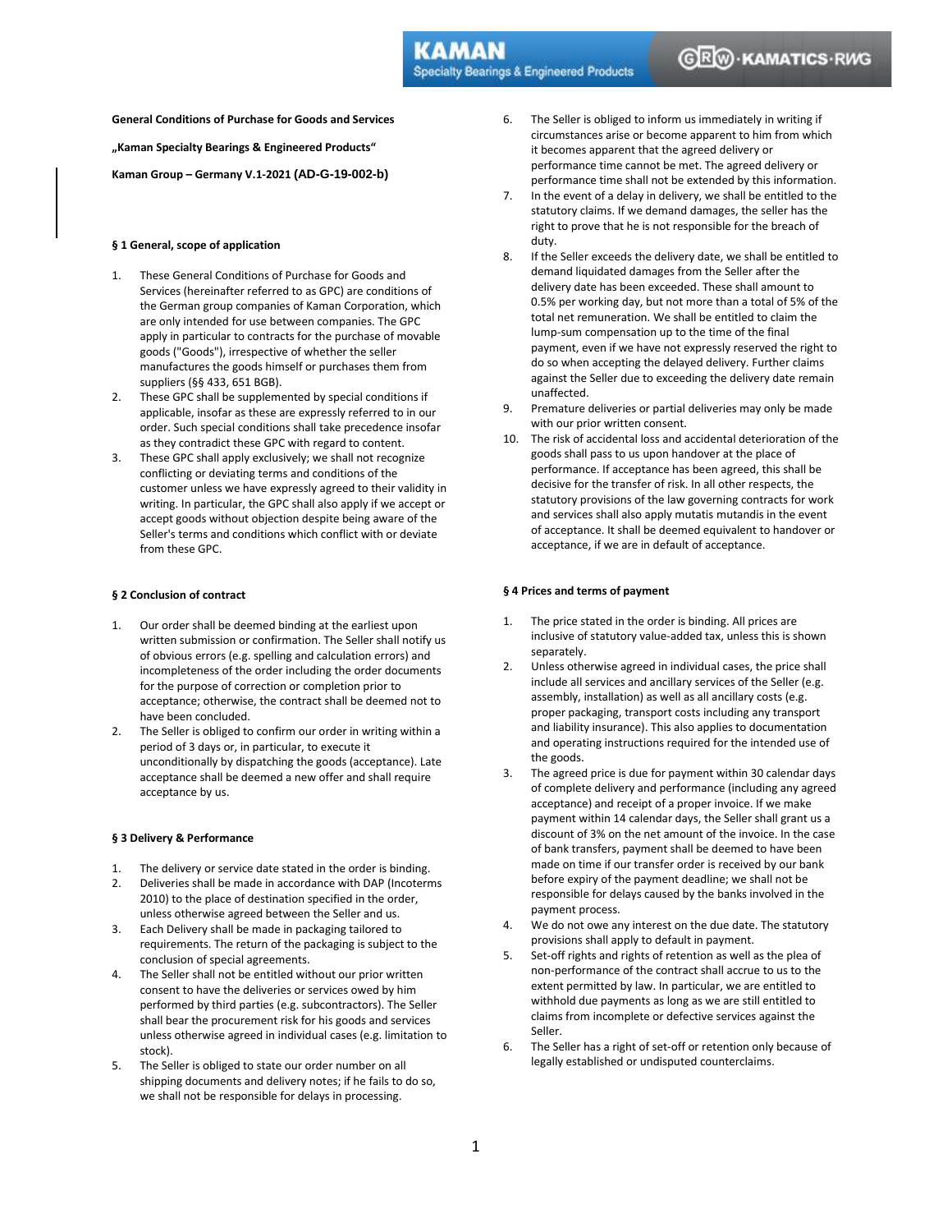**General Conditions of Purchase for Goods and Services** 

**"Kaman Specialty Bearings & Engineered Products"** 

**Kaman Group – Germany V.1-2021 (AD-G-19-002-b)**

## **§ 1 General, scope of application**

- 1. These General Conditions of Purchase for Goods and Services (hereinafter referred to as GPC) are conditions of the German group companies of Kaman Corporation, which are only intended for use between companies. The GPC apply in particular to contracts for the purchase of movable goods ("Goods"), irrespective of whether the seller manufactures the goods himself or purchases them from suppliers (§§ 433, 651 BGB).
- 2. These GPC shall be supplemented by special conditions if applicable, insofar as these are expressly referred to in our order. Such special conditions shall take precedence insofar as they contradict these GPC with regard to content.
- 3. These GPC shall apply exclusively; we shall not recognize conflicting or deviating terms and conditions of the customer unless we have expressly agreed to their validity in writing. In particular, the GPC shall also apply if we accept or accept goods without objection despite being aware of the Seller's terms and conditions which conflict with or deviate from these GPC.

#### **§ 2 Conclusion of contract**

- 1. Our order shall be deemed binding at the earliest upon written submission or confirmation. The Seller shall notify us of obvious errors (e.g. spelling and calculation errors) and incompleteness of the order including the order documents for the purpose of correction or completion prior to acceptance; otherwise, the contract shall be deemed not to have been concluded.
- 2. The Seller is obliged to confirm our order in writing within a period of 3 days or, in particular, to execute it unconditionally by dispatching the goods (acceptance). Late acceptance shall be deemed a new offer and shall require acceptance by us.

#### **§ 3 Delivery & Performance**

- 1. The delivery or service date stated in the order is binding.
- 2. Deliveries shall be made in accordance with DAP (Incoterms 2010) to the place of destination specified in the order, unless otherwise agreed between the Seller and us.
- 3. Each Delivery shall be made in packaging tailored to requirements. The return of the packaging is subject to the conclusion of special agreements.
- 4. The Seller shall not be entitled without our prior written consent to have the deliveries or services owed by him performed by third parties (e.g. subcontractors). The Seller shall bear the procurement risk for his goods and services unless otherwise agreed in individual cases (e.g. limitation to stock).
- 5. The Seller is obliged to state our order number on all shipping documents and delivery notes; if he fails to do so, we shall not be responsible for delays in processing.
- 6. The Seller is obliged to inform us immediately in writing if circumstances arise or become apparent to him from which it becomes apparent that the agreed delivery or performance time cannot be met. The agreed delivery or performance time shall not be extended by this information.
- 7. In the event of a delay in delivery, we shall be entitled to the statutory claims. If we demand damages, the seller has the right to prove that he is not responsible for the breach of duty.
- 8. If the Seller exceeds the delivery date, we shall be entitled to demand liquidated damages from the Seller after the delivery date has been exceeded. These shall amount to 0.5% per working day, but not more than a total of 5% of the total net remuneration. We shall be entitled to claim the lump-sum compensation up to the time of the final payment, even if we have not expressly reserved the right to do so when accepting the delayed delivery. Further claims against the Seller due to exceeding the delivery date remain unaffected.
- 9. Premature deliveries or partial deliveries may only be made with our prior written consent.
- 10. The risk of accidental loss and accidental deterioration of the goods shall pass to us upon handover at the place of performance. If acceptance has been agreed, this shall be decisive for the transfer of risk. In all other respects, the statutory provisions of the law governing contracts for work and services shall also apply mutatis mutandis in the event of acceptance. It shall be deemed equivalent to handover or acceptance, if we are in default of acceptance.

#### **§ 4 Prices and terms of payment**

- 1. The price stated in the order is binding. All prices are inclusive of statutory value-added tax, unless this is shown separately.
- 2. Unless otherwise agreed in individual cases, the price shall include all services and ancillary services of the Seller (e.g. assembly, installation) as well as all ancillary costs (e.g. proper packaging, transport costs including any transport and liability insurance). This also applies to documentation and operating instructions required for the intended use of the goods.
- 3. The agreed price is due for payment within 30 calendar days of complete delivery and performance (including any agreed acceptance) and receipt of a proper invoice. If we make payment within 14 calendar days, the Seller shall grant us a discount of 3% on the net amount of the invoice. In the case of bank transfers, payment shall be deemed to have been made on time if our transfer order is received by our bank before expiry of the payment deadline; we shall not be responsible for delays caused by the banks involved in the payment process.
- 4. We do not owe any interest on the due date. The statutory provisions shall apply to default in payment.
- 5. Set-off rights and rights of retention as well as the plea of non-performance of the contract shall accrue to us to the extent permitted by law. In particular, we are entitled to withhold due payments as long as we are still entitled to claims from incomplete or defective services against the Seller.
- 6. The Seller has a right of set-off or retention only because of legally established or undisputed counterclaims.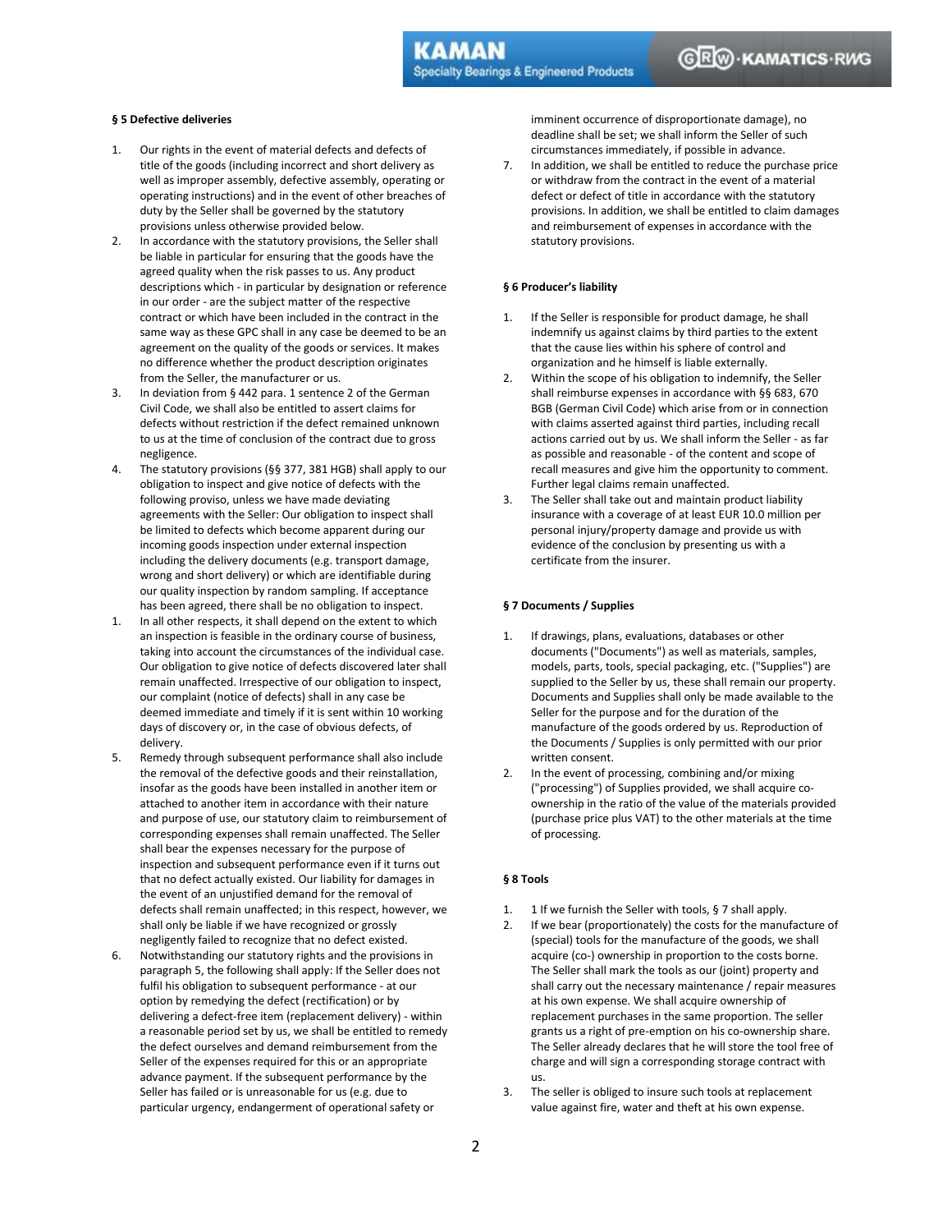# **§ 5 Defective deliveries**

- 1. Our rights in the event of material defects and defects of title of the goods (including incorrect and short delivery as well as improper assembly, defective assembly, operating or operating instructions) and in the event of other breaches of duty by the Seller shall be governed by the statutory provisions unless otherwise provided below.
- 2. In accordance with the statutory provisions, the Seller shall be liable in particular for ensuring that the goods have the agreed quality when the risk passes to us. Any product descriptions which - in particular by designation or reference in our order - are the subject matter of the respective contract or which have been included in the contract in the same way as these GPC shall in any case be deemed to be an agreement on the quality of the goods or services. It makes no difference whether the product description originates from the Seller, the manufacturer or us.
- 3. In deviation from § 442 para. 1 sentence 2 of the German Civil Code, we shall also be entitled to assert claims for defects without restriction if the defect remained unknown to us at the time of conclusion of the contract due to gross negligence.
- 4. The statutory provisions (§§ 377, 381 HGB) shall apply to our obligation to inspect and give notice of defects with the following proviso, unless we have made deviating agreements with the Seller: Our obligation to inspect shall be limited to defects which become apparent during our incoming goods inspection under external inspection including the delivery documents (e.g. transport damage, wrong and short delivery) or which are identifiable during our quality inspection by random sampling. If acceptance has been agreed, there shall be no obligation to inspect.
- 1. In all other respects, it shall depend on the extent to which an inspection is feasible in the ordinary course of business, taking into account the circumstances of the individual case. Our obligation to give notice of defects discovered later shall remain unaffected. Irrespective of our obligation to inspect, our complaint (notice of defects) shall in any case be deemed immediate and timely if it is sent within 10 working days of discovery or, in the case of obvious defects, of delivery.
- 5. Remedy through subsequent performance shall also include the removal of the defective goods and their reinstallation, insofar as the goods have been installed in another item or attached to another item in accordance with their nature and purpose of use, our statutory claim to reimbursement of corresponding expenses shall remain unaffected. The Seller shall bear the expenses necessary for the purpose of inspection and subsequent performance even if it turns out that no defect actually existed. Our liability for damages in the event of an unjustified demand for the removal of defects shall remain unaffected; in this respect, however, we shall only be liable if we have recognized or grossly negligently failed to recognize that no defect existed.
- 6. Notwithstanding our statutory rights and the provisions in paragraph 5, the following shall apply: If the Seller does not fulfil his obligation to subsequent performance - at our option by remedying the defect (rectification) or by delivering a defect-free item (replacement delivery) - within a reasonable period set by us, we shall be entitled to remedy the defect ourselves and demand reimbursement from the Seller of the expenses required for this or an appropriate advance payment. If the subsequent performance by the Seller has failed or is unreasonable for us (e.g. due to particular urgency, endangerment of operational safety or

imminent occurrence of disproportionate damage), no deadline shall be set; we shall inform the Seller of such circumstances immediately, if possible in advance.

7. In addition, we shall be entitled to reduce the purchase price or withdraw from the contract in the event of a material defect or defect of title in accordance with the statutory provisions. In addition, we shall be entitled to claim damages and reimbursement of expenses in accordance with the statutory provisions.

### **§ 6 Producer's liability**

- 1. If the Seller is responsible for product damage, he shall indemnify us against claims by third parties to the extent that the cause lies within his sphere of control and organization and he himself is liable externally.
- 2. Within the scope of his obligation to indemnify, the Seller shall reimburse expenses in accordance with §§ 683, 670 BGB (German Civil Code) which arise from or in connection with claims asserted against third parties, including recall actions carried out by us. We shall inform the Seller - as far as possible and reasonable - of the content and scope of recall measures and give him the opportunity to comment. Further legal claims remain unaffected.
- 3. The Seller shall take out and maintain product liability insurance with a coverage of at least EUR 10.0 million per personal injury/property damage and provide us with evidence of the conclusion by presenting us with a certificate from the insurer.

# **§ 7 Documents / Supplies**

- 1. If drawings, plans, evaluations, databases or other documents ("Documents") as well as materials, samples, models, parts, tools, special packaging, etc. ("Supplies") are supplied to the Seller by us, these shall remain our property. Documents and Supplies shall only be made available to the Seller for the purpose and for the duration of the manufacture of the goods ordered by us. Reproduction of the Documents / Supplies is only permitted with our prior written consent.
- 2. In the event of processing, combining and/or mixing ("processing") of Supplies provided, we shall acquire coownership in the ratio of the value of the materials provided (purchase price plus VAT) to the other materials at the time of processing.

# **§ 8 Tools**

- 1. 1 If we furnish the Seller with tools, § 7 shall apply.
- 2. If we bear (proportionately) the costs for the manufacture of (special) tools for the manufacture of the goods, we shall acquire (co-) ownership in proportion to the costs borne. The Seller shall mark the tools as our (joint) property and shall carry out the necessary maintenance / repair measures at his own expense. We shall acquire ownership of replacement purchases in the same proportion. The seller grants us a right of pre-emption on his co-ownership share. The Seller already declares that he will store the tool free of charge and will sign a corresponding storage contract with us.
- 3. The seller is obliged to insure such tools at replacement value against fire, water and theft at his own expense.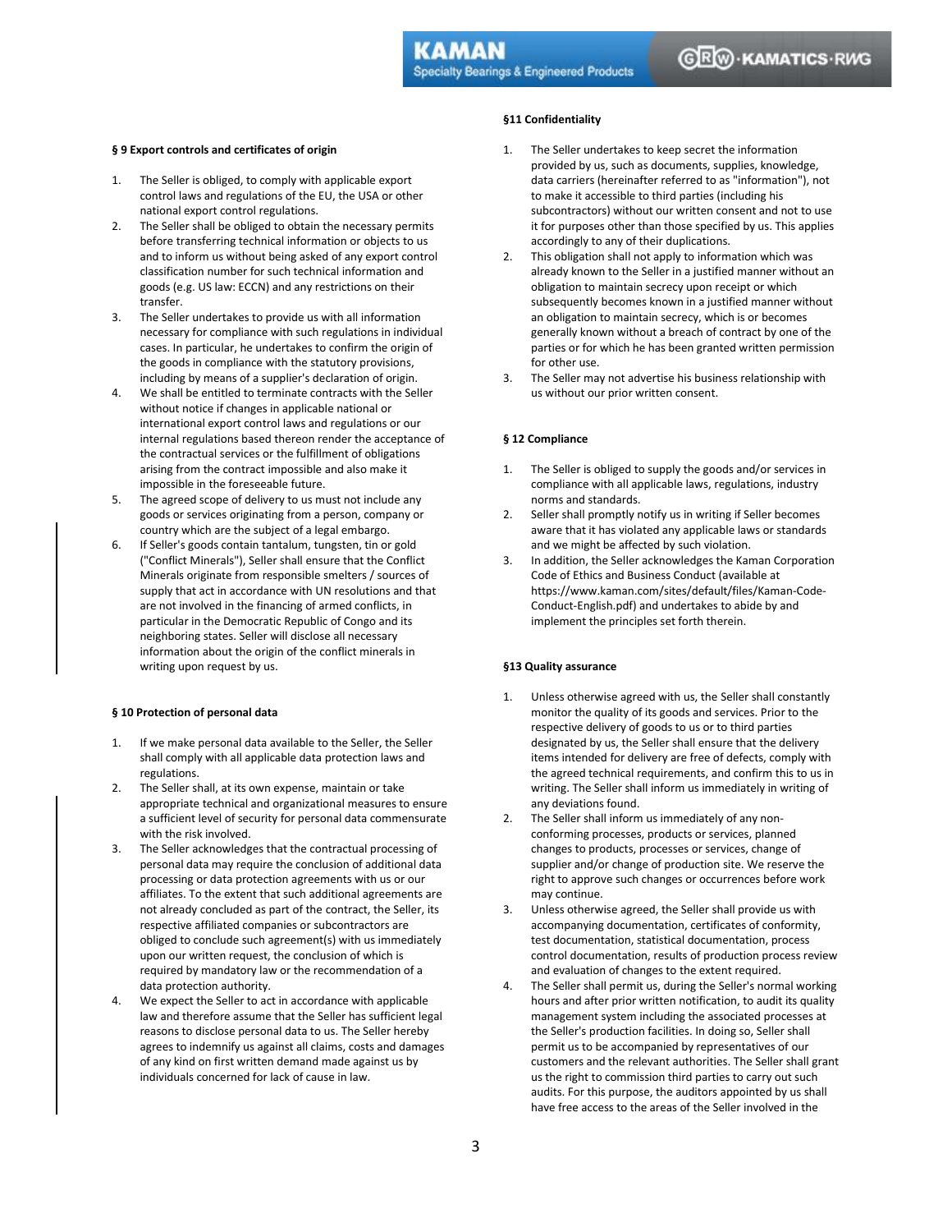### **§ 9 Export controls and certificates of origin**

- 1. The Seller is obliged, to comply with applicable export control laws and regulations of the EU, the USA or other national export control regulations.
- 2. The Seller shall be obliged to obtain the necessary permits before transferring technical information or objects to us and to inform us without being asked of any export control classification number for such technical information and goods (e.g. US law: ECCN) and any restrictions on their transfer.
- 3. The Seller undertakes to provide us with all information necessary for compliance with such regulations in individual cases. In particular, he undertakes to confirm the origin of the goods in compliance with the statutory provisions, including by means of a supplier's declaration of origin.
- 4. We shall be entitled to terminate contracts with the Seller without notice if changes in applicable national or international export control laws and regulations or our internal regulations based thereon render the acceptance of the contractual services or the fulfillment of obligations arising from the contract impossible and also make it impossible in the foreseeable future.
- 5. The agreed scope of delivery to us must not include any goods or services originating from a person, company or country which are the subject of a legal embargo.
- 6. If Seller's goods contain tantalum, tungsten, tin or gold ("Conflict Minerals"), Seller shall ensure that the Conflict Minerals originate from responsible smelters / sources of supply that act in accordance with UN resolutions and that are not involved in the financing of armed conflicts, in particular in the Democratic Republic of Congo and its neighboring states. Seller will disclose all necessary information about the origin of the conflict minerals in writing upon request by us.

#### **§ 10 Protection of personal data**

- 1. If we make personal data available to the Seller, the Seller shall comply with all applicable data protection laws and regulations.
- 2. The Seller shall, at its own expense, maintain or take appropriate technical and organizational measures to ensure a sufficient level of security for personal data commensurate with the risk involved.
- 3. The Seller acknowledges that the contractual processing of personal data may require the conclusion of additional data processing or data protection agreements with us or our affiliates. To the extent that such additional agreements are not already concluded as part of the contract, the Seller, its respective affiliated companies or subcontractors are obliged to conclude such agreement(s) with us immediately upon our written request, the conclusion of which is required by mandatory law or the recommendation of a data protection authority.
- 4. We expect the Seller to act in accordance with applicable law and therefore assume that the Seller has sufficient legal reasons to disclose personal data to us. The Seller hereby agrees to indemnify us against all claims, costs and damages of any kind on first written demand made against us by individuals concerned for lack of cause in law.

# **§11 Confidentiality**

- 1. The Seller undertakes to keep secret the information provided by us, such as documents, supplies, knowledge, data carriers (hereinafter referred to as "information"), not to make it accessible to third parties (including his subcontractors) without our written consent and not to use it for purposes other than those specified by us. This applies accordingly to any of their duplications.
- 2. This obligation shall not apply to information which was already known to the Seller in a justified manner without an obligation to maintain secrecy upon receipt or which subsequently becomes known in a justified manner without an obligation to maintain secrecy, which is or becomes generally known without a breach of contract by one of the parties or for which he has been granted written permission for other use.
- 3. The Seller may not advertise his business relationship with us without our prior written consent.

#### **§ 12 Compliance**

- 1. The Seller is obliged to supply the goods and/or services in compliance with all applicable laws, regulations, industry norms and standards.
- 2. Seller shall promptly notify us in writing if Seller becomes aware that it has violated any applicable laws or standards and we might be affected by such violation.
- 3. In addition, the Seller acknowledges the Kaman Corporation Code of Ethics and Business Conduct (available at https://www.kaman.com/sites/default/files/Kaman-Code-Conduct-English.pdf) and undertakes to abide by and implement the principles set forth therein.

### **§13 Quality assurance**

- 1. Unless otherwise agreed with us, the Seller shall constantly monitor the quality of its goods and services. Prior to the respective delivery of goods to us or to third parties designated by us, the Seller shall ensure that the delivery items intended for delivery are free of defects, comply with the agreed technical requirements, and confirm this to us in writing. The Seller shall inform us immediately in writing of any deviations found.
- 2. The Seller shall inform us immediately of any nonconforming processes, products or services, planned changes to products, processes or services, change of supplier and/or change of production site. We reserve the right to approve such changes or occurrences before work may continue.
- 3. Unless otherwise agreed, the Seller shall provide us with accompanying documentation, certificates of conformity, test documentation, statistical documentation, process control documentation, results of production process review and evaluation of changes to the extent required.
- 4. The Seller shall permit us, during the Seller's normal working hours and after prior written notification, to audit its quality management system including the associated processes at the Seller's production facilities. In doing so, Seller shall permit us to be accompanied by representatives of our customers and the relevant authorities. The Seller shall grant us the right to commission third parties to carry out such audits. For this purpose, the auditors appointed by us shall have free access to the areas of the Seller involved in the